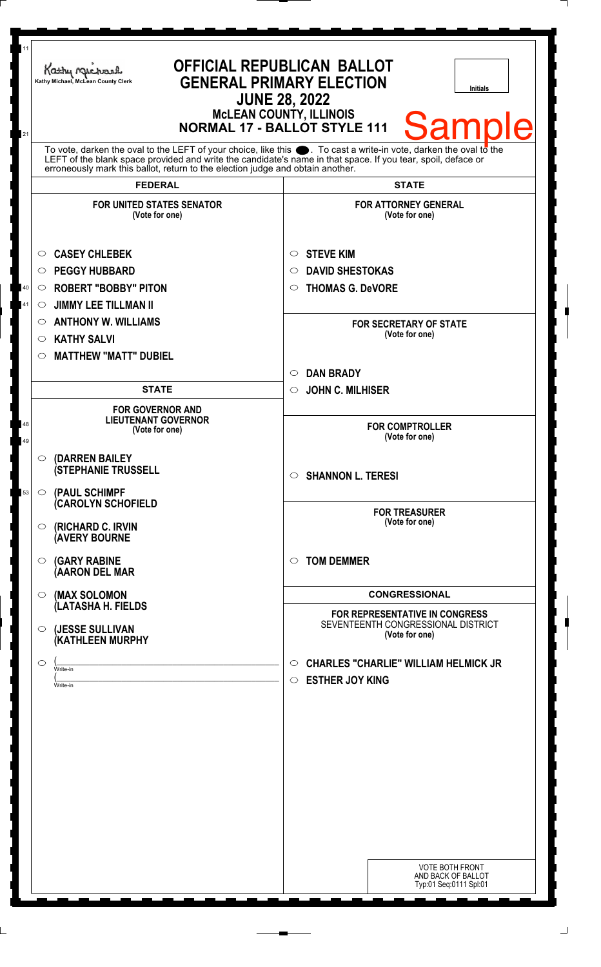| 11<br>21 | Kathy Michael<br>Kathy Michael, McLean County Clerk                                                                                                                                                                                                                                                                                  | <b>OFFICIAL REPUBLICAN BALLOT</b><br><b>GENERAL PRIMARY ELECTION</b><br><b>Initials</b><br><b>JUNE 28, 2022</b><br><b>McLEAN COUNTY, ILLINOIS</b><br><b>Sample</b><br><b>NORMAL 17 - BALLOT STYLE 111</b> |
|----------|--------------------------------------------------------------------------------------------------------------------------------------------------------------------------------------------------------------------------------------------------------------------------------------------------------------------------------------|-----------------------------------------------------------------------------------------------------------------------------------------------------------------------------------------------------------|
|          | To vote, darken the oval to the LEFT of your choice, like this . To cast a write-in vote, darken the oval to the<br>LEFT of the blank space provided and write the candidate's name in that space. If you tear, spoil, deface or<br>erroneously mark this ballot, return to the election judge and obtain another.<br><b>FEDERAL</b> | <b>STATE</b>                                                                                                                                                                                              |
|          | <b>FOR UNITED STATES SENATOR</b><br>(Vote for one)                                                                                                                                                                                                                                                                                   | <b>FOR ATTORNEY GENERAL</b><br>(Vote for one)                                                                                                                                                             |
| 40<br>41 | <b>CASEY CHLEBEK</b><br><b>PEGGY HUBBARD</b><br>$\circ$<br><b>ROBERT "BOBBY" PITON</b><br>$\circ$<br><b>JIMMY LEE TILLMAN II</b><br>O<br><b>ANTHONY W. WILLIAMS</b><br>O<br><b>KATHY SALVI</b><br>O<br><b>MATTHEW "MATT" DUBIEL</b><br>O                                                                                             | <b>STEVE KIM</b><br>$\circ$<br><b>DAVID SHESTOKAS</b><br>◯<br><b>THOMAS G. DeVORE</b><br>$\bigcirc$<br><b>FOR SECRETARY OF STATE</b><br>(Vote for one)                                                    |
|          | <b>STATE</b>                                                                                                                                                                                                                                                                                                                         | <b>DAN BRADY</b><br>$\bigcirc$<br><b>JOHN C. MILHISER</b><br>$\circ$                                                                                                                                      |
| 48<br>49 | <b>FOR GOVERNOR AND</b><br><b>LIEUTENANT GOVERNOR</b><br>(Vote for one)                                                                                                                                                                                                                                                              | <b>FOR COMPTROLLER</b><br>(Vote for one)                                                                                                                                                                  |
| 53       | (DARREN BAILEY<br>$\circ$<br><b>(STEPHANIE TRUSSELL</b><br>(PAUL SCHIMPF<br>$\circ$                                                                                                                                                                                                                                                  | <b>SHANNON L. TERESI</b><br>$\circ$                                                                                                                                                                       |
|          | (CAROLYN SCHOFIELD<br>(RICHARD C. IRVIN<br>$\circ$<br><b>(AVERY BOURNE</b>                                                                                                                                                                                                                                                           | <b>FOR TREASURER</b><br>(Vote for one)                                                                                                                                                                    |
|          | <b>(GARY RABINE</b><br>$\circ$<br>(AARON DEL MAR                                                                                                                                                                                                                                                                                     | <b>TOM DEMMER</b><br>◯                                                                                                                                                                                    |
|          | (MAX SOLOMON<br>$\circ$<br>(LATASHA H. FIELDS                                                                                                                                                                                                                                                                                        | <b>CONGRESSIONAL</b><br><b>FOR REPRESENTATIVE IN CONGRESS</b>                                                                                                                                             |
|          | (JESSE SULLIVAN<br>$\circ$<br>(KATHLEEN MURPHY                                                                                                                                                                                                                                                                                       | SEVENTEENTH CONGRESSIONAL DISTRICT<br>(Vote for one)                                                                                                                                                      |
|          | $\circ$<br>Write-in<br>Write-in                                                                                                                                                                                                                                                                                                      | <b>CHARLES "CHARLIE" WILLIAM HELMICK JR</b><br>$\circ$<br><b>ESTHER JOY KING</b><br>$\circ$                                                                                                               |
|          |                                                                                                                                                                                                                                                                                                                                      |                                                                                                                                                                                                           |
|          |                                                                                                                                                                                                                                                                                                                                      |                                                                                                                                                                                                           |
|          |                                                                                                                                                                                                                                                                                                                                      | <b>VOTE BOTH FRONT</b><br>AND BACK OF BALLOT<br>Typ:01 Seq:0111 Spl:01                                                                                                                                    |